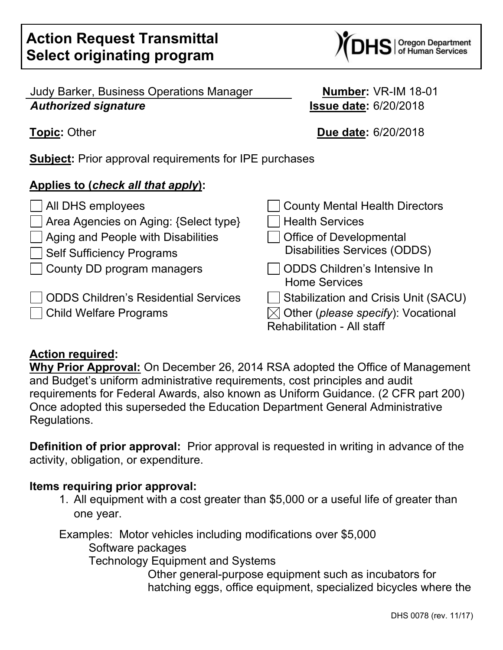Judy Barker, Business Operations Manager **Number:** VR-IM 18-01 *Authorized signature* **Issue date:** 6/20/2018

**Subject:** Prior approval requirements for IPE purchases

# **Applies to (***check all that apply***):**

□ All DHS employees County Mental Health Directors  $\vert$  Area Agencies on Aging: {Select type}  $\vert$   $\vert$  Health Services  $\vert$  Aging and People with Disabilities  $\vert$   $\vert$  Office of Developmental Self Sufficiency Programs Disabilities Services (ODDS) | County DD program managers | | ODDS Children's Intensive In Home Services | ODDS Children's Residential Services | | Stabilization and Crisis Unit (SACU)  $\Box$  Child Welfare Programs  $\boxtimes$  Other (*please specify*): Vocational Rehabilitation - All staff

### **Action required:**

**Why Prior Approval:** On December 26, 2014 RSA adopted the Office of Management and Budget's uniform administrative requirements, cost principles and audit requirements for Federal Awards, also known as Uniform Guidance. (2 CFR part 200) Once adopted this superseded the Education Department General Administrative Regulations.

**Definition of prior approval:** Prior approval is requested in writing in advance of the activity, obligation, or expenditure.

### **Items requiring prior approval:**

1. All equipment with a cost greater than \$5,000 or a useful life of greater than one year.

Examples: Motor vehicles including modifications over \$5,000 Software packages Technology Equipment and Systems

Other general-purpose equipment such as incubators for hatching eggs, office equipment, specialized bicycles where the

**Topic:** Other **Due date:** 6/20/2018

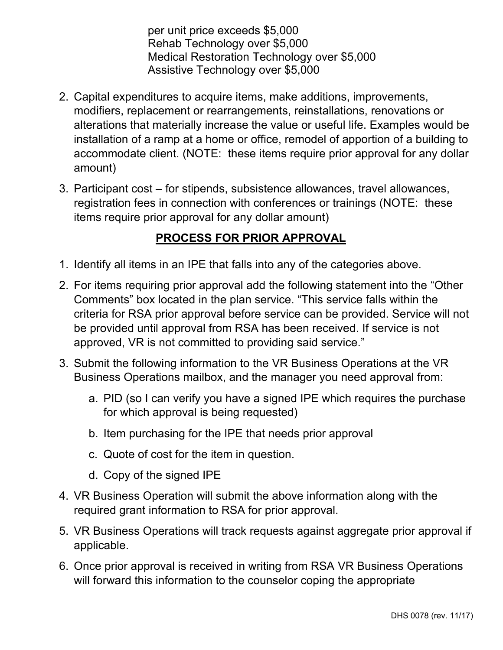per unit price exceeds \$5,000 Rehab Technology over \$5,000 Medical Restoration Technology over \$5,000 Assistive Technology over \$5,000

- 2. Capital expenditures to acquire items, make additions, improvements, modifiers, replacement or rearrangements, reinstallations, renovations or alterations that materially increase the value or useful life. Examples would be installation of a ramp at a home or office, remodel of apportion of a building to accommodate client. (NOTE: these items require prior approval for any dollar amount)
- 3. Participant cost for stipends, subsistence allowances, travel allowances, registration fees in connection with conferences or trainings (NOTE: these items require prior approval for any dollar amount)

# **PROCESS FOR PRIOR APPROVAL**

- 1. Identify all items in an IPE that falls into any of the categories above.
- 2. For items requiring prior approval add the following statement into the "Other Comments" box located in the plan service. "This service falls within the criteria for RSA prior approval before service can be provided. Service will not be provided until approval from RSA has been received. If service is not approved, VR is not committed to providing said service."
- 3. Submit the following information to the VR Business Operations at the VR Business Operations mailbox, and the manager you need approval from:
	- a. PID (so I can verify you have a signed IPE which requires the purchase for which approval is being requested)
	- b. Item purchasing for the IPE that needs prior approval
	- c. Quote of cost for the item in question.
	- d. Copy of the signed IPE
- 4. VR Business Operation will submit the above information along with the required grant information to RSA for prior approval.
- 5. VR Business Operations will track requests against aggregate prior approval if applicable.
- 6. Once prior approval is received in writing from RSA VR Business Operations will forward this information to the counselor coping the appropriate